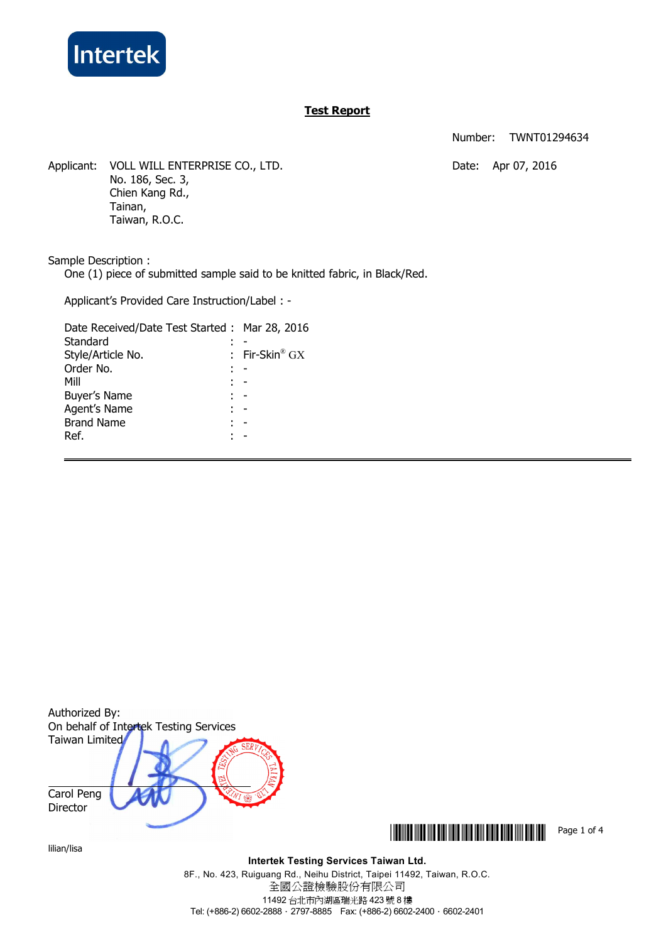

# **Test Report**

Number: TWNT01294634

Applicant: VOLL WILL ENTERPRISE CO., LTD. Date: Apr 07, 2016 No. 186, Sec. 3, Chien Kang Rd., Tainan, Taiwan, R.O.C.

Sample Description :

One (1) piece of submitted sample said to be knitted fabric, in Black/Red.

Applicant's Provided Care Instruction/Label : -

| Date Received/Date Test Started: Mar 28, 2016 |                              |
|-----------------------------------------------|------------------------------|
| Standard                                      |                              |
| Style/Article No.                             | : Fir-Skin <sup>®</sup> $GX$ |
| Order No.                                     |                              |
| Mill                                          |                              |
| Buyer's Name                                  |                              |
| Agent's Name                                  |                              |
| <b>Brand Name</b>                             |                              |
| Ref.                                          |                              |
|                                               |                              |



lilian/lisa

**\*THE THE THEFT THE THEFT THE THEFT THE THEFT THE THEFT THE THEFT THE THEFT THE TH** 

**Intertek Testing Services Taiwan Ltd.**

8F., No. 423, Ruiguang Rd., Neihu District, Taipei 11492, Taiwan, R.O.C. 全國公證檢驗股份有限公司 11492 台北市內湖區瑞光路 423 號 8 樓 Tel: (+886-2) 6602-2888 · 2797-8885 Fax: (+886-2) 6602-2400 · 6602-2401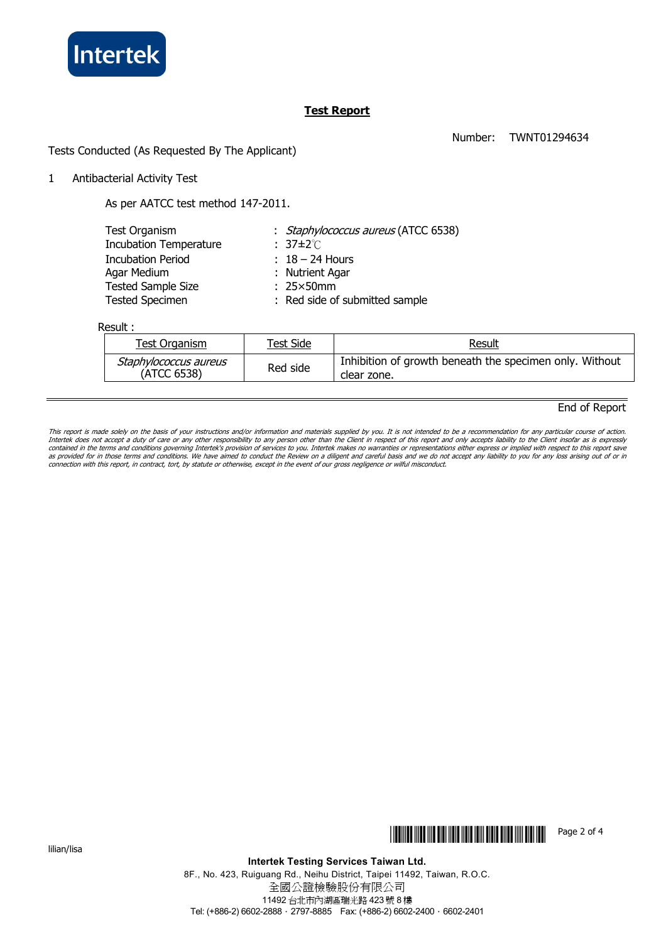

# **Test Report**

Number: TWNT01294634

Tests Conducted (As Requested By The Applicant)

1 Antibacterial Activity Test

As per AATCC test method 147-2011.

| Test Organism                 | : Staphylococcus aureus (ATCC 6538) |
|-------------------------------|-------------------------------------|
| <b>Incubation Temperature</b> | $: 37 \pm 2^{\circ}$                |
| <b>Incubation Period</b>      | $: 18 - 24$ Hours                   |
| Agar Medium                   | : Nutrient Agar                     |
| <b>Tested Sample Size</b>     | $: 25 \times 50$ mm                 |
| <b>Tested Specimen</b>        | : Red side of submitted sample      |
|                               |                                     |

Result :

| Test Organism                        | Test Side | <u>Result</u>                                                          |
|--------------------------------------|-----------|------------------------------------------------------------------------|
| Staphylococcus aureus<br>(ATCC 6538) | Red side  | Inhibition of growth beneath the specimen only. Without<br>clear zone. |

# End of Report

This report is made solely on the basis of your instructions and/or information and materials supplied by you. It is not intended to be a recommendation for any particular course of action.<br>Intertek does not accept a duty contained in the terms and conditions governing Intertek's provision of services to you. Intertek makes no warranties or representations either express or implied with respect to this report save<br>as provided for in those t

lilian/lisa



**Intertek Testing Services Taiwan Ltd.**

8F., No. 423, Ruiguang Rd., Neihu District, Taipei 11492, Taiwan, R.O.C. 全國公證檢驗股份有限公司 11492 台北市內湖區瑞光路 423 號 8 樓 Tel: (+886-2) 6602-2888 · 2797-8885 Fax: (+886-2) 6602-2400 · 6602-2401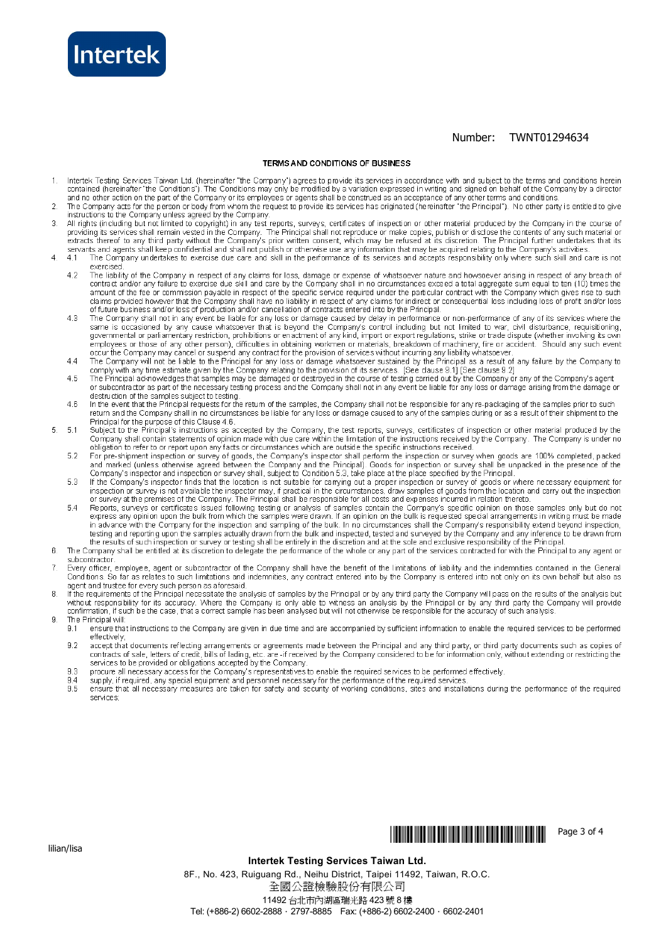

# Number: TWNT01294634

#### TERMS AND CONDITIONS OF BUSINESS

- Intertek Testing Services Taiwan Ltd. (hereinafter "the Company") agrees to provide its services in accordance with and subject to the terms and conditions herein<br>contained (hereinafter "the Conditions"). The Conditions ma  $\overline{1}$ and no other action on the part of the Company or its employees or agents shall be construed as an acceptance of any other terms and conditions.
- The Company acts for the person or body from whom the request to provide its services has originated (hereinafter "the Principal"). No other party is entitled to give<br>instructions to the Company unless agreed by the Compan  $\overline{2}$
- All rights (including but not limited to copyright) in any test reports, surveys, certificates of inspection or other material produced by the Company in the course of 3 required in the company of the Company. The Principal shall not reproduce or make copies, publish or disclose the contents of any such material or extracts thereof to any third party without the Company. The Principal shal
- The Company undertakes to exercise due care and skill in the performance of its services and accepts responsibility only where such skill and care is not  $\overline{4}$  $4.1$ exercised
	- exercise.<br>The liability of the Company in respect of any claims for loss, damage or expense of whatsoever nature and howsoever arising in respect of any breach of<br>contract and/or any failure to exercise due skill and care  $42$ amount of the fee or commission payable in respect of the specific service required under the particular contract with the Company which gives rise to such diams provided however that the Company shall have no liability in respect of any claims for indirect or consequential loss including loss of profit and/or loss of profit and/or loss of profit and/or loss of profit and/or
	- $43$ The Company shall not in any event be liable for any loss or damage caused by delay in performance or non-performance or any of its services where the<br>same is occasioned by any cause whatsoever that is beyond the Company's
	- The Company will not be liable to the Principal for any loss or damage whatsoever sustained by the Principal as a result of any failure by the Company to  $44$
	- comply with any time estimate given by the Company relating to the provision of its services. [See clause 9.1] [See clause 9.2]<br>The Principal acknowledges that samples may be damaged or destroyed in the course of testing c  $\overline{AB}$
	- destruction of the samples subject to testing.<br>In the event that the Principal requests for the return of the samples, the Company shall not be responsible for any receiver any receiver darrage anomy in the samples prior t  $\overline{A}$  R Principal for the purpose of this Clause 4.6
- Frincipal of the purpose of this Clause 4.0.<br>Company shall contain statements of opinion made with due care within the limitation of the instructions received by the Company. The Company is under no<br>Company shall contain s  $\overline{5}$  $-5.1$ 
	- 52
	- For pre-shipment inspection or survey of goods, the Company's inspector shall perform the inspection or survey when goods are 100% completed, packed<br>and marked (unless oftenwise agreed between the Company and the Principal 5.3
	- $54$ in advance with the Company for the inspection and sampling of the bulk. In no circumstances shall the Company's responsibility extend beyond inspection, the company of the Principal to end in the samples actually drawn from the bulk and inspected, tested and surveyed by the Company and any inference to be drawn from the esults of such inspection or survey or testing shall
- $\mathbf{g}$ subcontractor
- Every officer, employee, agent or subcontractor of the Company shall have the benefit of the limitations of liability and the indemnities contained in the General<br>Conditions. So far as relates to such limitations and indem  $\overline{7}$ agent and trustee for every such person as aforesaid.
- If the requirements of the Principal necessitate the analysis of samples by the Principal or by any third party the Company will pass on the results of the analysis but F without responsibility for its accuracy. Where the Company is only able to witness an analysis by the Principal or by any third party the Company will provide<br>confirmation, if such be the case, that a correct sample has be The Principal will:  $\overline{a}$ 
	- $9.1$ ensure that instructions to the Company are given in due time and are accompanied by sufficient information to enable the required services to be performed
	- effectively,<br>accept that documents reflecting arrangements or agreements made between the Principal and any third party, or third party documents such as copies of<br>contracts of sale, letters of credit, bills of lading, etc  $9.2$
	- procure all necessary access for the Company's representatives to enable the required services to be performed effectively 9.3
	- supply, if required, any special equipment and personnel necessary for the performance of the required services.<br>ensure that all necessary measures are taken for safety and security of working conditions, sites and install 9.4  $9.5$
	- services:



## **Intertek Testing Services Taiwan Ltd.**

8F., No. 423, Ruiguang Rd., Neihu District, Taipei 11492, Taiwan, R.O.C. 全國公證檢驗股份有限公司 11492 台北市內湖區瑞光路 423號 8樓 Tel: (+886-2) 6602-2888 · 2797-8885 Fax: (+886-2) 6602-2400 · 6602-2401